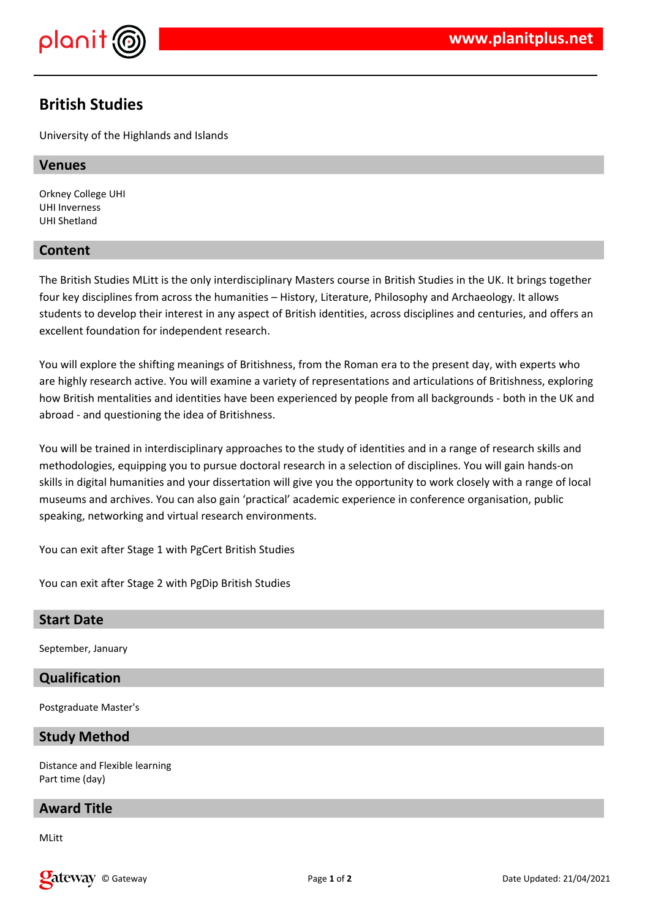



# **British Studies**

University of the Highlands and Islands

#### **Venues**

Orkney College UHI UHI Inverness UHI Shetland

# **Content**

The British Studies MLitt is the only interdisciplinary Masters course in British Studies in the UK. It brings together four key disciplines from across the humanities – History, Literature, Philosophy and Archaeology. It allows students to develop their interest in any aspect of British identities, across disciplines and centuries, and offers an excellent foundation for independent research.

You will explore the shifting meanings of Britishness, from the Roman era to the present day, with experts who are highly research active. You will examine a variety of representations and articulations of Britishness, exploring how British mentalities and identities have been experienced by people from all backgrounds - both in the UK and abroad - and questioning the idea of Britishness.

You will be trained in interdisciplinary approaches to the study of identities and in a range of research skills and methodologies, equipping you to pursue doctoral research in a selection of disciplines. You will gain hands-on skills in digital humanities and your dissertation will give you the opportunity to work closely with a range of local museums and archives. You can also gain 'practical' academic experience in conference organisation, public speaking, networking and virtual research environments.

You can exit after Stage 1 with PgCert British Studies

You can exit after Stage 2 with PgDip British Studies

# **Start Date**

September, January

# **Qualification**

Postgraduate Master's

# **Study Method**

Distance and Flexible learning Part time (day)

# **Award Title**

MLitt